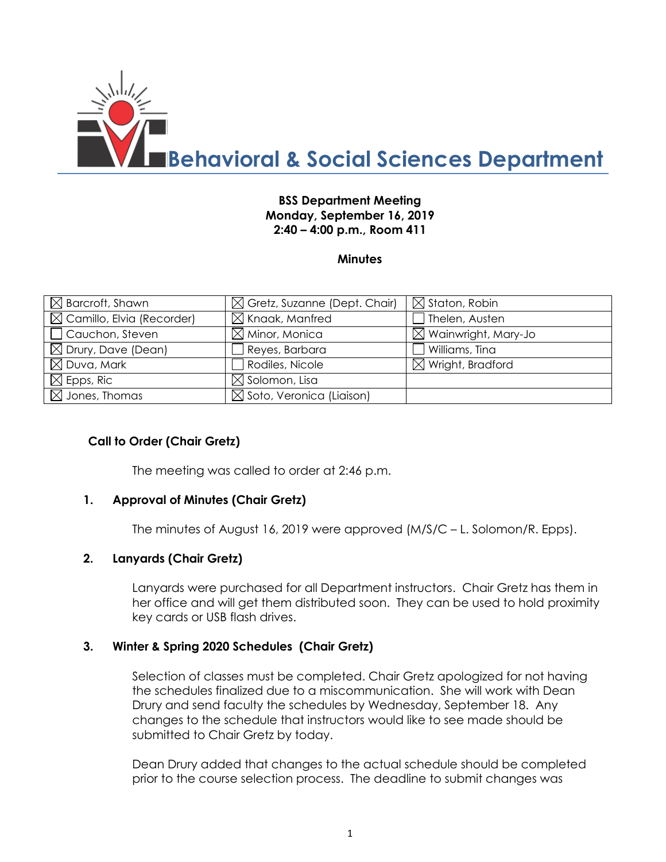

### **BSS Department Meeting Monday, September 16, 2019 2:40 – 4:00 p.m., Room 411**

#### **Minutes**

| $\boxtimes$ Barcroft, Shawn           | $\boxtimes$ Gretz, Suzanne (Dept. Chair) | $\boxtimes$ Staton, Robin       |
|---------------------------------------|------------------------------------------|---------------------------------|
| $\boxtimes$ Camillo, Elvia (Recorder) | $\boxtimes$ Knaak, Manfred               | Thelen, Austen                  |
| $\Box$ Cauchon, Steven                | $\boxtimes$ Minor, Monica                | $\boxtimes$ Wainwright, Mary-Jo |
| $\boxtimes$ Drury, Dave (Dean)        | Reyes, Barbara                           | Williams, Tina                  |
| $\boxtimes$ Duva, Mark                | Rodiles, Nicole                          | $\boxtimes$ Wright, Bradford    |
| $\boxtimes$ Epps, Ric                 | $\boxtimes$ Solomon, Lisa                |                                 |
| $\boxtimes$ Jones, Thomas             | $\boxtimes$ Soto, Veronica (Liaison)     |                                 |

#### **Call to Order (Chair Gretz)**

The meeting was called to order at 2:46 p.m.

#### **1. Approval of Minutes (Chair Gretz)**

The minutes of August 16, 2019 were approved (M/S/C – L. Solomon/R. Epps).

### **2. Lanyards (Chair Gretz)**

Lanyards were purchased for all Department instructors. Chair Gretz has them in her office and will get them distributed soon. They can be used to hold proximity key cards or USB flash drives.

#### **3. Winter & Spring 2020 Schedules (Chair Gretz)**

Selection of classes must be completed. Chair Gretz apologized for not having the schedules finalized due to a miscommunication. She will work with Dean Drury and send faculty the schedules by Wednesday, September 18. Any changes to the schedule that instructors would like to see made should be submitted to Chair Gretz by today.

Dean Drury added that changes to the actual schedule should be completed prior to the course selection process. The deadline to submit changes was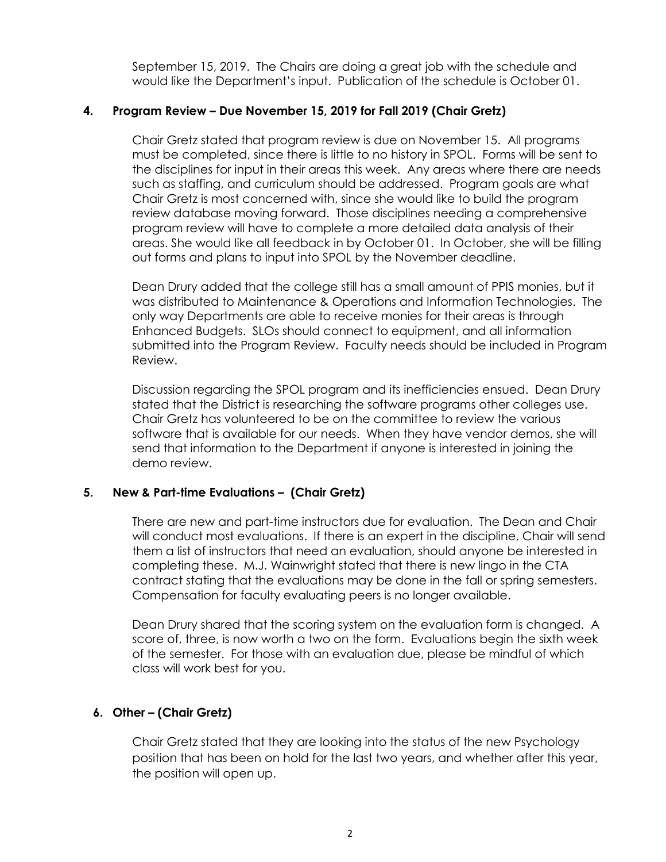September 15, 2019. The Chairs are doing a great job with the schedule and would like the Department's input. Publication of the schedule is October 01.

# **4. Program Review – Due November 15, 2019 for Fall 2019 (Chair Gretz)**

Chair Gretz stated that program review is due on November 15. All programs must be completed, since there is little to no history in SPOL. Forms will be sent to the disciplines for input in their areas this week. Any areas where there are needs such as staffing, and curriculum should be addressed. Program goals are what Chair Gretz is most concerned with, since she would like to build the program review database moving forward. Those disciplines needing a comprehensive program review will have to complete a more detailed data analysis of their areas. She would like all feedback in by October 01. In October, she will be filling out forms and plans to input into SPOL by the November deadline.

Dean Drury added that the college still has a small amount of PPIS monies, but it was distributed to Maintenance & Operations and Information Technologies. The only way Departments are able to receive monies for their areas is through Enhanced Budgets. SLOs should connect to equipment, and all information submitted into the Program Review. Faculty needs should be included in Program Review.

Discussion regarding the SPOL program and its inefficiencies ensued. Dean Drury stated that the District is researching the software programs other colleges use. Chair Gretz has volunteered to be on the committee to review the various software that is available for our needs. When they have vendor demos, she will send that information to the Department if anyone is interested in joining the demo review.

# **5. New & Part-time Evaluations – (Chair Gretz)**

There are new and part-time instructors due for evaluation. The Dean and Chair will conduct most evaluations. If there is an expert in the discipline, Chair will send them a list of instructors that need an evaluation, should anyone be interested in completing these. M.J. Wainwright stated that there is new lingo in the CTA contract stating that the evaluations may be done in the fall or spring semesters. Compensation for faculty evaluating peers is no longer available.

Dean Drury shared that the scoring system on the evaluation form is changed. A score of, three, is now worth a two on the form. Evaluations begin the sixth week of the semester. For those with an evaluation due, please be mindful of which class will work best for you.

# **6. Other – (Chair Gretz)**

Chair Gretz stated that they are looking into the status of the new Psychology position that has been on hold for the last two years, and whether after this year, the position will open up.